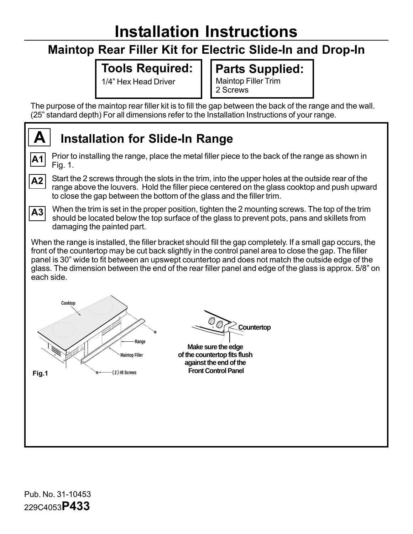# **Installation Instructions**

### **Maintop Rear Filler Kit for Electric Slide-In and Drop-In**

#### **Tools Required:**

1/4" Hex Head Driver

**Parts Supplied:** Maintop Filler Trim 2 Screws

The purpose of the maintop rear filler kit is to fill the gap between the back of the range and the wall. (25" standard depth) For all dimensions refer to the Installation Instructions of your range.

## **Installation for Slide-In Range**

**A1** Prior to installing the range, place the metal filler piece to the back of the range as shown in Fig. 1.



**A**

Start the 2 screws through the slots in the trim, into the upper holes at the outside rear of the range above the louvers. Hold the filler piece centered on the glass cooktop and push upward to close the gap between the bottom of the glass and the filler trim.

**A3**

When the trim is set in the proper position, tighten the 2 mounting screws. The top of the trim should be located below the top surface of the glass to prevent pots, pans and skillets from damaging the painted part.

When the range is installed, the filler bracket should fill the gap completely. If a small gap occurs, the front of the countertop may be cut back slightly in the control panel area to close the gap. The filler panel is 30" wide to fit between an upswept countertop and does not match the outside edge of the glass. The dimension between the end of the rear filler panel and edge of the glass is approx. 5/8" on each side.



**Countertop**

**Make sure the edge of the countertop fits flush against the end of the Front Control Panel**